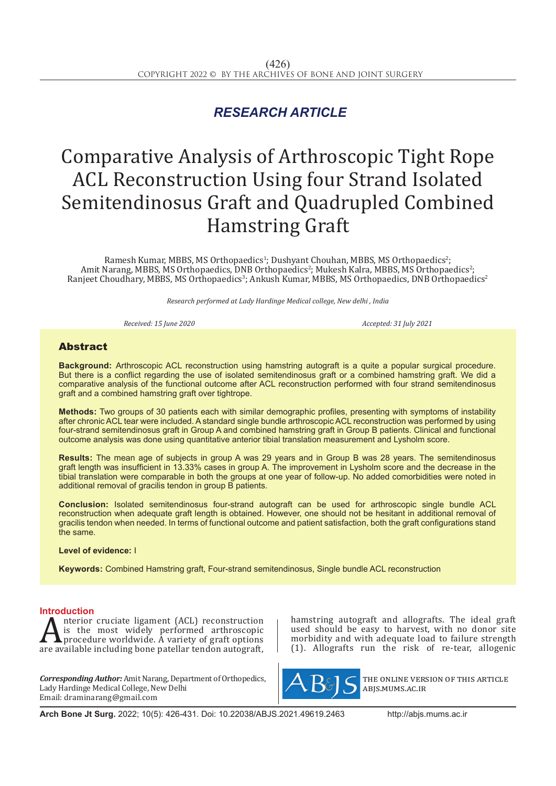## *RESEARCH ARTICLE*

# Comparative Analysis of Arthroscopic Tight Rope ACL Reconstruction Using four Strand Isolated Semitendinosus Graft and Quadrupled Combined Hamstring Graft

Ramesh Kumar, MBBS, MS Orthopaedics<sup>1</sup>; Dushyant Chouhan, MBBS, MS Orthopaedics<sup>2</sup>; Amit Narang, MBBS, MS Orthopaedics, DNB Orthopaedics<sup>2</sup>; Mukesh Kalra, MBBS, MS Orthopaedics<sup>2</sup>; Ranjeet Choudhary, MBBS, MS Orthopaedics<sup>3</sup>; Ankush Kumar, MBBS, MS Orthopaedics, DNB Orthopaedics<sup>2</sup>

*Research performed at Lady Hardinge Medical college, New delhi , India* 

*Received: 15 June 2020 Accepted: 31 July 2021*

### Abstract

**Background:** Arthroscopic ACL reconstruction using hamstring autograft is a quite a popular surgical procedure. But there is a conflict regarding the use of isolated semitendinosus graft or a combined hamstring graft. We did a comparative analysis of the functional outcome after ACL reconstruction performed with four strand semitendinosus graft and a combined hamstring graft over tightrope.

**Methods:** Two groups of 30 patients each with similar demographic profiles, presenting with symptoms of instability after chronic ACL tear were included. A standard single bundle arthroscopic ACL reconstruction was performed by using four-strand semitendinosus graft in Group A and combined hamstring graft in Group B patients. Clinical and functional outcome analysis was done using quantitative anterior tibial translation measurement and Lysholm score.

**Results:** The mean age of subjects in group A was 29 years and in Group B was 28 years. The semitendinosus graft length was insufficient in 13.33% cases in group A. The improvement in Lysholm score and the decrease in the tibial translation were comparable in both the groups at one year of follow-up. No added comorbidities were noted in additional removal of gracilis tendon in group B patients.

**Conclusion:** Isolated semitendinosus four-strand autograft can be used for arthroscopic single bundle ACL reconstruction when adequate graft length is obtained. However, one should not be hesitant in additional removal of gracilis tendon when needed. In terms of functional outcome and patient satisfaction, both the graft configurations stand the same.

#### **Level of evidence:** I

**Keywords:** Combined Hamstring graft, Four-strand semitendinosus, Single bundle ACL reconstruction

**Introduction**<br>**A** nterior cruciate ligament (ACL) reconstruction **A** is the most widely performed arthroscopic<br>procedure worldwide. A variety of graft options<br>are available including bone patellar tendon autograft, is the most widely performed arthroscopic procedure worldwide. A variety of graft options are available including bone patellar tendon autograft,

*Corresponding Author:* Amit Narang, Department of Orthopedics, Lady Hardinge Medical College, New Delhi Email: draminarang@gmail.com

hamstring autograft and allografts. The ideal graft used should be easy to harvest, with no donor site morbidity and with adequate load to failure strength (1). Allografts run the risk of re-tear, allogenic



the online version of this article abjs.mums.ac.ir

**Arch Bone Jt Surg.** 2022; 10(5): 426-431. Doi: 10.22038/ABJS.2021.49619.2463 http://abjs.mums.ac.ir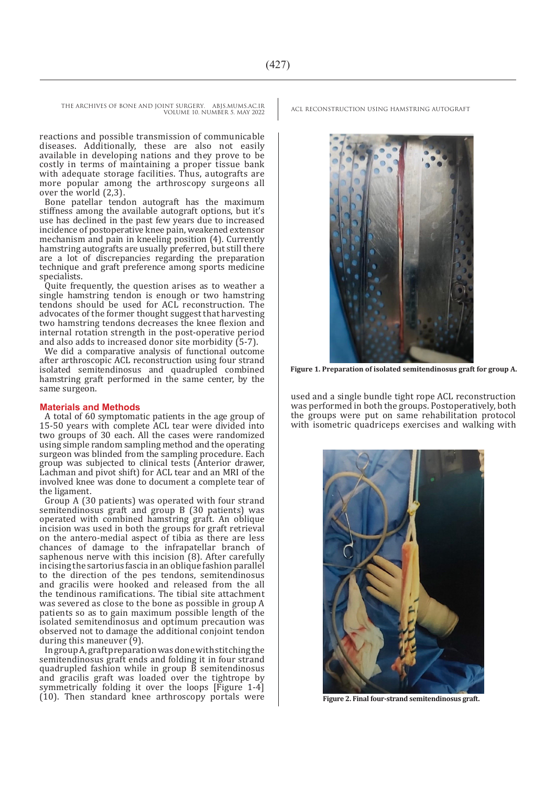VOLUME 10. NUMBER 5. MAY 2022

reactions and possible transmission of communicable diseases. Additionally, these are also not easily available in developing nations and they prove to be costly in terms of maintaining a proper tissue bank with adequate storage facilities. Thus, autografts are more popular among the arthroscopy surgeons all over the world  $(2,3)$ .

Bone patellar tendon autograft has the maximum stiffness among the available autograft options, but it's use has declined in the past few years due to increased incidence of postoperative knee pain, weakened extensor mechanism and pain in kneeling position (4). Currently hamstring autografts are usually preferred, but still there are a lot of discrepancies regarding the preparation technique and graft preference among sports medicine specialists.

Quite frequently, the question arises as to weather a single hamstring tendon is enough or two hamstring tendons should be used for ACL reconstruction. The advocates of the former thought suggest that harvesting two hamstring tendons decreases the knee flexion and internal rotation strength in the post-operative period and also adds to increased donor site morbidity (5-7).

We did a comparative analysis of functional outcome after arthroscopic ACL reconstruction using four strand isolated semitendinosus and quadrupled combined hamstring graft performed in the same center, by the same surgeon.

#### **Materials and Methods**

A total of 60 symptomatic patients in the age group of 15-50 years with complete ACL tear were divided into two groups of 30 each. All the cases were randomized using simple random sampling method and the operating surgeon was blinded from the sampling procedure. Each group was subjected to clinical tests (Anterior drawer, Lachman and pivot shift) for ACL tear and an MRI of the involved knee was done to document a complete tear of the ligament.

Group A (30 patients) was operated with four strand semitendinosus graft and group B (30 patients) was operated with combined hamstring graft. An oblique incision was used in both the groups for graft retrieval on the antero-medial aspect of tibia as there are less chances of damage to the infrapatellar branch of saphenous nerve with this incision (8). After carefully incising the sartorius fascia in an oblique fashion parallel to the direction of the pes tendons, semitendinosus and gracilis were hooked and released from the all the tendinous ramifications. The tibial site attachment was severed as close to the bone as possible in group A patients so as to gain maximum possible length of the isolated semitendinosus and optimum precaution was observed not to damage the additional conjoint tendon during this maneuver (9).

In group A, graft preparation was done with stitching the semitendinosus graft ends and folding it in four strand quadrupled fashion while in group  $\overrightarrow{B}$  semitendinosus and gracilis graft was loaded over the tightrope by symmetrically folding it over the loops [Figure 1-4] (10). Then standard knee arthroscopy portals were

THE ARCHIVES OF BONE AND JOINT SURGERY. ABJS.MUMS.AC.IR ACL RECONSTRUCTION USING HAMSTRING AUTOGRAFT



**Figure 1. Preparation of isolated semitendinosus graft for group A.**

used and a single bundle tight rope ACL reconstruction was performed in both the groups. Postoperatively, both the groups were put on same rehabilitation protocol with isometric quadriceps exercises and walking with



**Figure 2. Final four-strand semitendinosus graft.**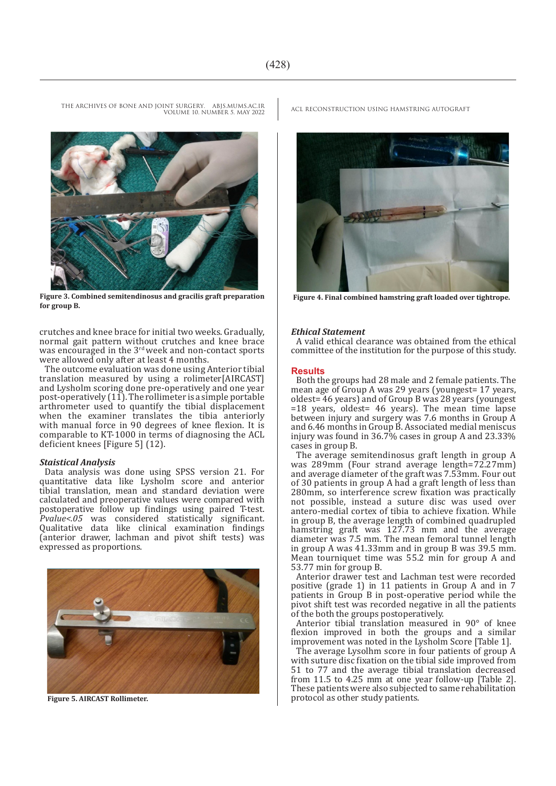VOLUME 10. NUMBER 5. MAY 2022



**Figure 3. Combined semitendinosus and gracilis graft preparation for group B.**

crutches and knee brace for initial two weeks. Gradually, normal gait pattern without crutches and knee brace was encouraged in the  $3<sup>rd</sup>$  week and non-contact sports were allowed only after at least 4 months.

The outcome evaluation was done using Anterior tibial translation measured by using a rolimeter[AIRCAST] and Lysholm scoring done pre-operatively and one year post-operatively (11). The rollimeter is a simple portable arthrometer used to quantify the tibial displacement when the examiner translates the tibia anteriorly with manual force in 90 degrees of knee flexion. It is comparable to KT-1000 in terms of diagnosing the ACL deficient knees [Figure 5] (12).

#### *Staistical Analysis*

Data analysis was done using SPSS version 21. For quantitative data like Lysholm score and anterior tibial translation, mean and standard deviation were calculated and preoperative values were compared with postoperative follow up findings using paired T-test. *Pvalue<.05* was considered statistically significant. Qualitative data like clinical examination findings (anterior drawer, lachman and pivot shift tests) was expressed as proportions.



**Figure 5. AIRCAST Rollimeter.**

THE ARCHIVES OF BONE AND JOINT SURGERY. ABJS.MUMS.AC.IR ACL RECONSTRUCTION USING HAMSTRING AUTOGRAFT



**Figure 4. Final combined hamstring graft loaded over tightrope.**

#### *Ethical Statement*

A valid ethical clearance was obtained from the ethical committee of the institution for the purpose of this study.

#### **Results**

Both the groups had 28 male and 2 female patients. The mean age of Group A was 29 years (youngest= 17 years, oldest= 46 years) and of Group B was 28 years (youngest =18 years, oldest= 46 years). The mean time lapse between injury and surgery was 7.6 months in Group A and 6.46 months in Group B. Associated medial meniscus injury was found in 36.7% cases in group A and 23.33% cases in group B.

The average semitendinosus graft length in group A was 289mm (Four strand average length=72.27mm) and average diameter of the graft was 7.53mm. Four out of 30 patients in group A had a graft length of less than 280mm, so interference screw fixation was practically not possible, instead a suture disc was used over antero-medial cortex of tibia to achieve fixation. While in group B, the average length of combined quadrupled hamstring graft was 127.73 mm and the average diameter was 7.5 mm. The mean femoral tunnel length in group A was 41.33mm and in group B was 39.5 mm. Mean tourniquet time was 55.2 min for group A and 53.77 min for group B.

Anterior drawer test and Lachman test were recorded positive (grade 1) in 11 patients in Group A and in 7 patients in Group B in post-operative period while the pivot shift test was recorded negative in all the patients of the both the groups postoperatively.

Anterior tibial translation measured in 90° of knee flexion improved in both the groups and a similar improvement was noted in the Lysholm Score [Table 1].

The average Lysolhm score in four patients of group A with suture disc fixation on the tibial side improved from 51 to 77 and the average tibial translation decreased from 11.5 to 4.25 mm at one year follow-up [Table 2]. These patients were also subjected to same rehabilitation protocol as other study patients.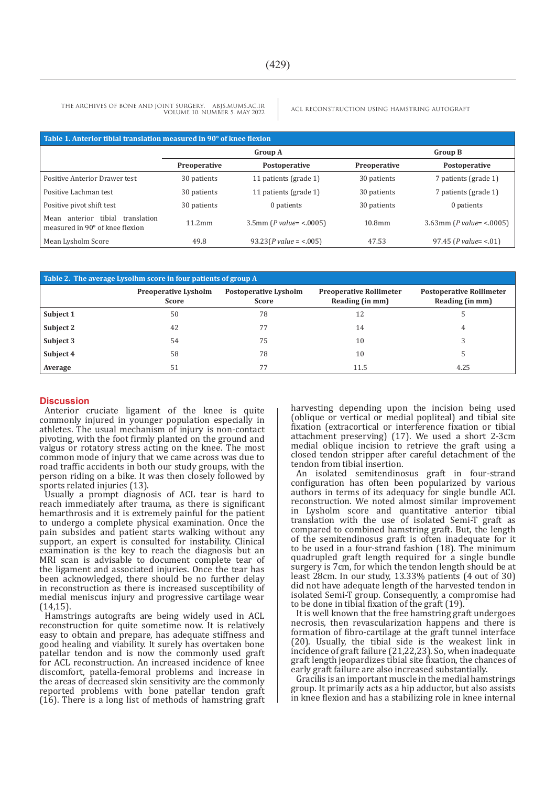THE ARCHIVES OF BONE AND JOINT SURGERY. ABJS.MUMS.AC.IR ACL RECONSTRUCTION USING HAMSTRING AUTOGRAFT VOLUME 10. NUMBER 5. MAY 2022

| Table 1. Anterior tibial translation measured in 90° of knee flexion         |                |                            |                    |                             |  |  |
|------------------------------------------------------------------------------|----------------|----------------------------|--------------------|-----------------------------|--|--|
|                                                                              | <b>Group A</b> |                            |                    | <b>Group B</b>              |  |  |
|                                                                              | Preoperative   | Postoperative              | Preoperative       | Postoperative               |  |  |
| Positive Anterior Drawer test                                                | 30 patients    | 11 patients (grade 1)      | 30 patients        | 7 patients (grade 1)        |  |  |
| Positive Lachman test                                                        | 30 patients    | 11 patients (grade 1)      | 30 patients        | 7 patients (grade 1)        |  |  |
| Positive pivot shift test                                                    | 30 patients    | 0 patients                 | 30 patients        | 0 patients                  |  |  |
| tibial<br>translation<br>Mean<br>anterior<br>measured in 90° of knee flexion | 11.2mm         | 3.5mm ( $P$ value= <.0005) | 10.8 <sub>mm</sub> | 3.63mm ( $P$ value= <.0005) |  |  |
| Mean Lysholm Score                                                           | 49.8           | $93.23(P value = < .005)$  | 47.53              | 97.45 ( $P$ value= <.01)    |  |  |

| Table 2. The average Lysolhm score in four patients of group A |                                             |                                       |                                                   |                                                    |  |  |
|----------------------------------------------------------------|---------------------------------------------|---------------------------------------|---------------------------------------------------|----------------------------------------------------|--|--|
|                                                                | <b>Preoperative Lysholm</b><br><b>Score</b> | <b>Postoperative Lysholm</b><br>Score | <b>Preoperative Rollimeter</b><br>Reading (in mm) | <b>Postoperative Rollimeter</b><br>Reading (in mm) |  |  |
| Subject 1                                                      | 50                                          | 78                                    | 12                                                |                                                    |  |  |
| Subject 2                                                      | 42                                          |                                       | 14                                                | 4                                                  |  |  |
| Subject 3                                                      | 54                                          | 75                                    | 10                                                |                                                    |  |  |
| Subject 4                                                      | 58                                          | 78                                    | 10                                                |                                                    |  |  |
| Average                                                        | 51                                          |                                       | 11.5                                              | 4.25                                               |  |  |

#### **Discussion**

Anterior cruciate ligament of the knee is quite commonly injured in younger population especially in athletes. The usual mechanism of injury is non-contact pivoting, with the foot firmly planted on the ground and valgus or rotatory stress acting on the knee. The most common mode of injury that we came across was due to road traffic accidents in both our study groups, with the person riding on a bike. It was then closely followed by sports related injuries (13).

Usually a prompt diagnosis of ACL tear is hard to reach immediately after trauma, as there is significant hemarthrosis and it is extremely painful for the patient to undergo a complete physical examination. Once the pain subsides and patient starts walking without any support, an expert is consulted for instability. Clinical examination is the key to reach the diagnosis but an MRI scan is advisable to document complete tear of the ligament and associated injuries. Once the tear has been acknowledged, there should be no further delay in reconstruction as there is increased susceptibility of medial meniscus injury and progressive cartilage wear  $(14,15)$ 

Hamstrings autografts are being widely used in ACL reconstruction for quite sometime now. It is relatively easy to obtain and prepare, has adequate stiffness and good healing and viability. It surely has overtaken bone patellar tendon and is now the commonly used graft for ACL reconstruction. An increased incidence of knee discomfort, patella-femoral problems and increase in the areas of decreased skin sensitivity are the commonly reported problems with bone patellar tendon graft (16). There is a long list of methods of hamstring graft harvesting depending upon the incision being used (oblique or vertical or medial popliteal) and tibial site fixation (extracortical or interference fixation or tibial attachment preserving) (17). We used a short 2-3cm medial oblique incision to retrieve the graft using a closed tendon stripper after careful detachment of the tendon from tibial insertion.

An isolated semitendinosus graft in four-strand configuration has often been popularized by various authors in terms of its adequacy for single bundle ACL reconstruction. We noted almost similar improvement in Lysholm score and quantitative anterior tibial translation with the use of isolated Semi-T graft as compared to combined hamstring graft. But, the length of the semitendinosus graft is often inadequate for it to be used in a four-strand fashion (18). The minimum quadrupled graft length required for a single bundle surgery is 7cm, for which the tendon length should be at least 28cm. In our study, 13.33% patients (4 out of 30) did not have adequate length of the harvested tendon in isolated Semi-T group. Consequently, a compromise had to be done in tibial fixation of the graft (19).

It is well known that the free hamstring graft undergoes necrosis, then revascularization happens and there is formation of fibro-cartilage at the graft tunnel interface (20). Usually, the tibial side is the weakest link in incidence of graft failure (21,22,23). So, when inadequate graft length jeopardizes tibial site fixation, the chances of early graft failure are also increased substantially.

Gracilis is an important muscle in the medial hamstrings group. It primarily acts as a hip adductor, but also assists in knee flexion and has a stabilizing role in knee internal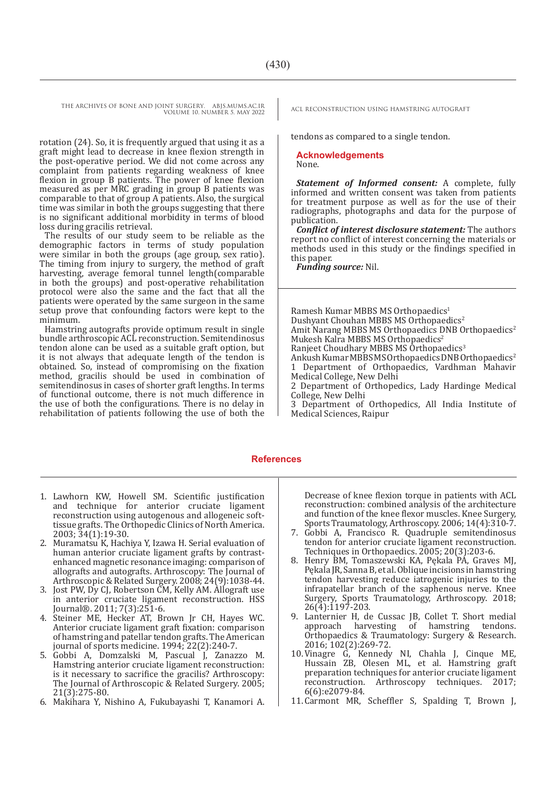THE ARCHIVES OF BONE AND JOINT SURGERY. ABJS.MUMS.AC.IR ACL RECONSTRUCTION USING HAMSTRING AUTOGRAFT VOLUME 10. NUMBER 5. MAY 2022

rotation (24). So, it is frequently argued that using it as a graft might lead to decrease in knee flexion strength in the post-operative period. We did not come across any complaint from patients regarding weakness of knee flexion in group B patients. The power of knee flexion measured as per MRC grading in group B patients was comparable to that of group A patients. Also, the surgical time was similar in both the groups suggesting that there is no significant additional morbidity in terms of blood loss during gracilis retrieval.

The results of our study seem to be reliable as the demographic factors in terms of study population were similar in both the groups (age group, sex ratio). The timing from injury to surgery, the method of graft harvesting, average femoral tunnel length(comparable in both the groups) and post-operative rehabilitation protocol were also the same and the fact that all the patients were operated by the same surgeon in the same setup prove that confounding factors were kept to the minimum.

Hamstring autografts provide optimum result in single bundle arthroscopic ACL reconstruction. Semitendinosus tendon alone can be used as a suitable graft option, but it is not always that adequate length of the tendon is obtained. So, instead of compromising on the fixation method, gracilis should be used in combination of semitendinosus in cases of shorter graft lengths. In terms of functional outcome, there is not much difference in the use of both the configurations. There is no delay in rehabilitation of patients following the use of both the

tendons as compared to a single tendon.

#### **Acknowledgements** None.

*Statement of Informed consent:* A complete, fully informed and written consent was taken from patients for treatment purpose as well as for the use of their radiographs, photographs and data for the purpose of

publication. *Conflict of interest disclosure statement:* The authors report no conflict of interest concerning the materials or methods used in this study or the findings specified in this paper.

*Funding source:* Nil.

Ramesh Kumar MBBS MS Orthopaedics<sup>1</sup> Dushyant Chouhan MBBS MS Orthopaedics<sup>2</sup> Amit Narang MBBS MS Orthopaedics DNB Orthopaedics<sup>2</sup> Mukesh Kalra MBBS MS Orthopaedics<sup>2</sup> Ranjeet Choudhary MBBS MS Orthopaedics<sup>3</sup> Ankush Kumar MBBS MS Orthopaedics DNB Orthopaedics2 1 Department of Orthopaedics, Vardhman Mahavir Medical College, New Delhi 2 Department of Orthopedics, Lady Hardinge Medical College, New Delhi 3 Department of Orthopedics, All India Institute of Medical Sciences, Raipur

#### **References**

- 1. Lawhorn KW, Howell SM. Scientific justification and technique for anterior cruciate ligament reconstruction using autogenous and allogeneic softtissue grafts. The Orthopedic Clinics of North America. 2003; 34(1):19-30.
- 2. Muramatsu K, Hachiya Y, Izawa H. Serial evaluation of human anterior cruciate ligament grafts by contrastenhanced magnetic resonance imaging: comparison of allografts and autografts. Arthroscopy: The Journal of Arthroscopic & Related Surgery. 2008; 24(9):1038-44.
- 3. Jost PW, Dy CJ, Robertson CM, Kelly AM, Allograft use in anterior cruciate ligament reconstruction. HSS Journal®. 2011; 7(3):251-6.
- 4. Steiner ME, Hecker AT, Brown Jr CH, Hayes WC. Anterior cruciate ligament graft fixation: comparison of hamstring and patellar tendon grafts. The American journal of sports medicine. 1994; 22(2):240-7.
- 5. Gobbi A, Domzalski M, Pascual J, Zanazzo M. Hamstring anterior cruciate ligament reconstruction: is it necessary to sacrifice the gracilis? Arthroscopy: The Journal of Arthroscopic & Related Surgery. 2005; 21(3):275-80.
- 6. Makihara Y, Nishino A, Fukubayashi T, Kanamori A.

Decrease of knee flexion torque in patients with ACL reconstruction: combined analysis of the architecture and function of the knee flexor muscles. Knee Surgery, Sports Traumatology, Arthroscopy. 2006; 14(4):310-7.

- 7. Gobbi A, Francisco R. Quadruple semitendinosus tendon for anterior cruciate ligament reconstruction. Techniques in Orthopaedics. 2005; 20(3):203-6.
- 8. Henry BM, Tomaszewski KA, Pękala PA, Graves MJ, Pękala JR, Sanna B, et al. Oblique incisions in hamstring tendon harvesting reduce iatrogenic injuries to the infrapatellar branch of the saphenous nerve. Knee Surgery, Sports Traumatology, Arthroscopy. 2018; 26(4):1197-203.
- 9. Lanternier H, de Cussac JB, Collet T. Short medial<br>approach harvesting of hamstring tendons. harvesting of hamstring tendons. Orthopaedics & Traumatology: Surgery & Research. 2016; 102(2):269-72.
- 10.Vinagre G, Kennedy NI, Chahla J, Cinque ME, Hussain ZB, Olesen ML, et al. Hamstring graft preparation techniques for anterior cruciate ligament<br>reconstruction. Arthroscopy techniques. 2017; Arthroscopy techniques. 2017; 6(6):e2079-84.
- 11.Carmont MR, Scheffler S, Spalding T, Brown J,